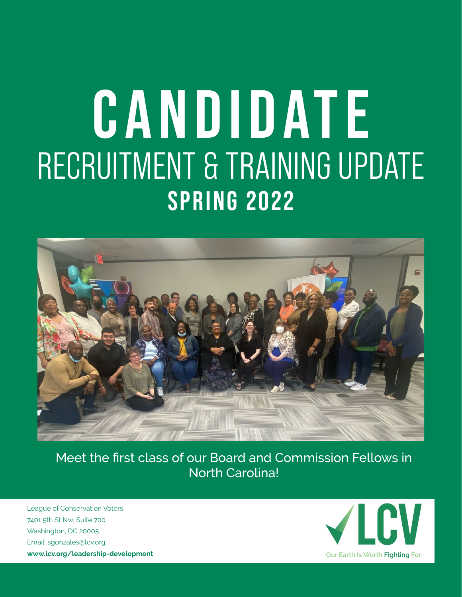## **CANDIDATE** RECRUITMENT & TRAINING UPDATE **SPRING 2022**



Meet the first class of our Board and Commission Fellows in North Carolina!

League of Conservation Voters 7401 5th St Nw, Suite 700 Washington, DC 20005 Email: [sgonzales@lcv.org](mailto: sgonzales@lcv.org) **<www.lcv.org/leadership-development>**

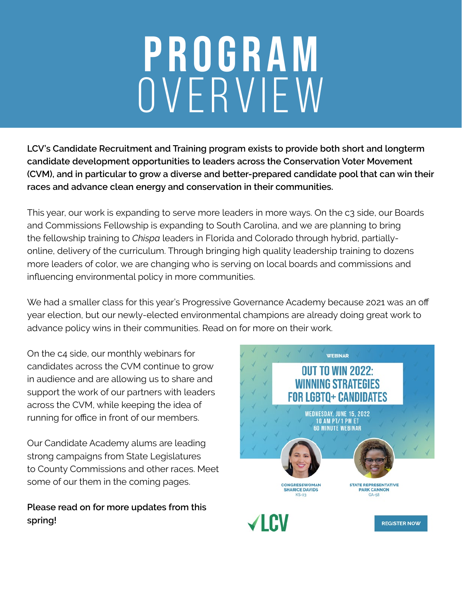# PROGRAM OVERVIEW

**LCV's Candidate Recruitment and Training program exists to provide both short and longterm candidate development opportunities to leaders across the Conservation Voter Movement (CVM), and in particular to grow a diverse and better-prepared candidate pool that can win their races and advance clean energy and conservation in their communities.**

This year, our work is expanding to serve more leaders in more ways. On the c3 side, our Boards and Commissions Fellowship is expanding to South Carolina, and we are planning to bring the fellowship training to *Chispa* leaders in Florida and Colorado through hybrid, partiallyonline, delivery of the curriculum. Through bringing high quality leadership training to dozens more leaders of color, we are changing who is serving on local boards and commissions and influencing environmental policy in more communities.

We had a smaller class for this year's Progressive Governance Academy because 2021 was an off year election, but our newly-elected environmental champions are already doing great work to advance policy wins in their communities. Read on for more on their work.

On the c4 side, our monthly webinars for candidates across the CVM continue to grow in audience and are allowing us to share and support the work of our partners with leaders across the CVM, while keeping the idea of running for office in front of our members.

Our Candidate Academy alums are leading strong campaigns from State Legislatures to County Commissions and other races. Meet some of our them in the coming pages.

**Please read on for more updates from this spring!**

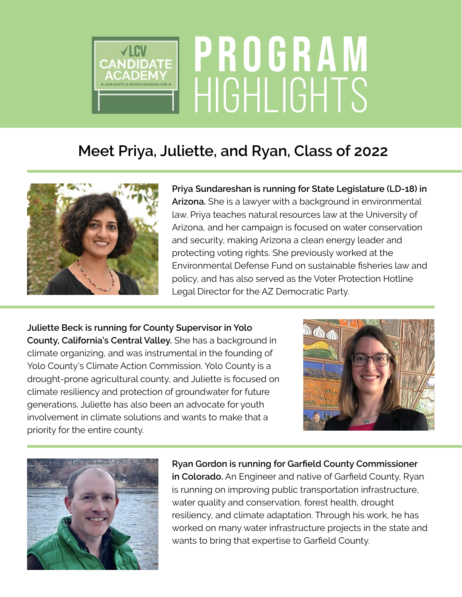

#### **Meet Priya, Juliette, and Ryan, Class of 2022**



**Priya Sundareshan is running for State Legislature (LD-18) in Arizona.** She is a lawyer with a background in environmental law. Priya teaches natural resources law at the University of Arizona, and her campaign is focused on water conservation and security, making Arizona a clean energy leader and protecting voting rights. She previously worked at the Environmental Defense Fund on sustainable fisheries law and policy, and has also served as the Voter Protection Hotline Legal Director for the AZ Democratic Party.

**Juliette Beck is running for County Supervisor in Yolo County, California's Central Valley.** She has a background in climate organizing, and was instrumental in the founding of Yolo County's Climate Action Commission. Yolo County is a drought-prone agricultural county, and Juliette is focused on climate resiliency and protection of groundwater for future generations. Juliette has also been an advocate for youth involvement in climate solutions and wants to make that a priority for the entire county.





**Ryan Gordon is running for Garfield County Commissioner in Colorado.** An Engineer and native of Garfield County, Ryan is running on improving public transportation infrastructure, water quality and conservation, forest health, drought resiliency, and climate adaptation. Through his work, he has worked on many water infrastructure projects in the state and wants to bring that expertise to Garfield County.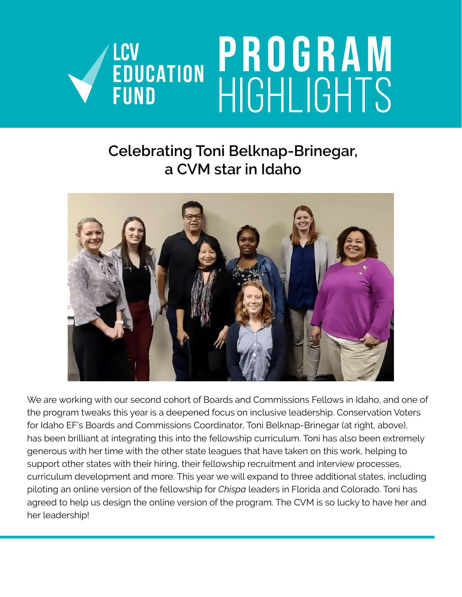

#### **Celebrating Toni Belknap-Brinegar, a CVM star in Idaho**



We are working with our second cohort of Boards and Commissions Fellows in Idaho, and one of the program tweaks this year is a deepened focus on inclusive leadership. Conservation Voters for Idaho EF's Boards and Commissions Coordinator, Toni Belknap-Brinegar (at right, above), has been brilliant at integrating this into the fellowship curriculum. Toni has also been extremely generous with her time with the other state leagues that have taken on this work, helping to support other states with their hiring, their fellowship recruitment and interview processes, curriculum development and more. This year we will expand to three additional states, including piloting an online version of the fellowship for *Chispa* leaders in Florida and Colorado. Toni has agreed to help us design the online version of the program. The CVM is so lucky to have her and her leadership!